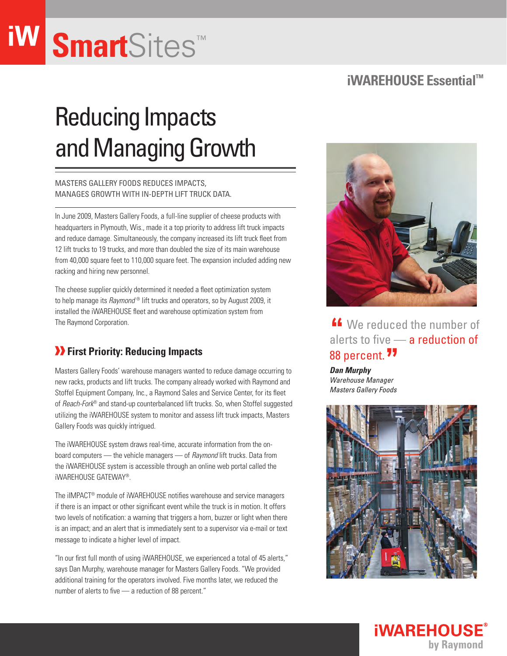# **Smart**Sites™

### **iWAREHOUSE Essential™**

## Reducing Impacts and Managing Growth

Masters Gallery Foods reduces impacts, manages growth with in-depth lift truck data.

In June 2009, Masters Gallery Foods, a full-line supplier of cheese products with headquarters in Plymouth, Wis., made it a top priority to address lift truck impacts and reduce damage. Simultaneously, the company increased its lift truck fleet from 12 lift trucks to 19 trucks, and more than doubled the size of its main warehouse from 40,000 square feet to 110,000 square feet. The expansion included adding new racking and hiring new personnel.

The cheese supplier quickly determined it needed a fleet optimization system to help manage its *Raymond* ® lift trucks and operators, so by August 2009, it installed the iWAREHOUSE fleet and warehouse optimization system from The Raymond Corporation.

### **B** First Priority: Reducing Impacts

Masters Gallery Foods' warehouse managers wanted to reduce damage occurring to new racks, products and lift trucks. The company already worked with Raymond and Stoffel Equipment Company, Inc., a Raymond Sales and Service Center, for its fleet of *Reach-Fork*® and stand-up counterbalanced lift trucks. So, when Stoffel suggested utilizing the iWAREHOUSE system to monitor and assess lift truck impacts, Masters Gallery Foods was quickly intrigued.

The iWAREHOUSE system draws real-time, accurate information from the onboard computers — the vehicle managers — of *Raymond* lift trucks. Data from the iWAREHOUSE system is accessible through an online web portal called the iWAREHOUSE GATEWAY®.

The iIMPACT® module of iWAREHOUSE notifies warehouse and service managers if there is an impact or other significant event while the truck is in motion. It offers two levels of notification: a warning that triggers a horn, buzzer or light when there is an impact; and an alert that is immediately sent to a supervisor via e-mail or text message to indicate a higher level of impact.

"In our first full month of using iWAREHOUSE, we experienced a total of 45 alerts," says Dan Murphy, warehouse manager for Masters Gallery Foods. "We provided additional training for the operators involved. Five months later, we reduced the number of alerts to five — a reduction of 88 percent."



**"** We reduced the number of alerts to five — a reduction of 88 percent. **\*\***<br><sub>Dan Murphy</sub>

*Dan Murphy Warehouse Manager Masters Gallery Foods*



**iWAREHOUSE** 

by Raymond